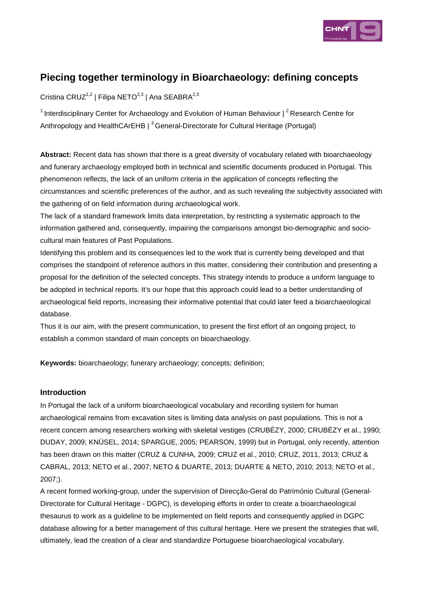

# **Piecing together terminology in Bioarchaeology: defining concepts**

Cristina CRUZ<sup>1,2</sup> | Filipa NETO<sup>2,3</sup> | Ana SEABRA<sup>2,3</sup>

<sup>1</sup> Interdisciplinary Center for Archaeology and Evolution of Human Behaviour  $\int^2$  Research Centre for Anthropology and HealthCArEHB  $\vert$ <sup>3</sup> General-Directorate for Cultural Heritage (Portugal)

**Abstract:** Recent data has shown that there is a great diversity of vocabulary related with bioarchaeology and funerary archaeology employed both in technical and scientific documents produced in Portugal. This phenomenon reflects, the lack of an uniform criteria in the application of concepts reflecting the circumstances and scientific preferences of the author, and as such revealing the subjectivity associated with the gathering of on field information during archaeological work.

The lack of a standard framework limits data interpretation, by restricting a systematic approach to the information gathered and, consequently, impairing the comparisons amongst bio-demographic and sociocultural main features of Past Populations.

Identifying this problem and its consequences led to the work that is currently being developed and that comprises the standpoint of reference authors in this matter, considering their contribution and presenting a proposal for the definition of the selected concepts. This strategy intends to produce a uniform language to be adopted in technical reports. It's our hope that this approach could lead to a better understanding of archaeological field reports, increasing their informative potential that could later feed a bioarchaeological database.

Thus it is our aim, with the present communication, to present the first effort of an ongoing project, to establish a common standard of main concepts on bioarchaeology.

**Keywords:** bioarchaeology; funerary archaeology; concepts; definition;

## **Introduction**

In Portugal the lack of a uniform bioarchaeological vocabulary and recording system for human archaeological remains from excavation sites is limiting data analysis on past populations. This is not a recent concern among researchers working with skeletal vestiges (CRUBÉZY, 2000; CRUBÉZY et al., 1990; DUDAY, 2009; KNÜSEL, 2014; SPARGUE, 2005; PEARSON, 1999) but in Portugal, only recently, attention has been drawn on this matter (CRUZ & CUNHA, 2009; CRUZ et al., 2010; CRUZ, 2011, 2013; CRUZ & CABRAL, 2013; NETO et al., 2007; NETO & DUARTE, 2013; DUARTE & NETO, 2010; 2013; NETO et al., 2007;).

A recent formed working-group, under the supervision of Direcção-Geral do Património Cultural (General-Directorate for Cultural Heritage - DGPC), is developing efforts in order to create a bioarchaeological thesaurus to work as a guideline to be implemented on field reports and consequently applied in DGPC database allowing for a better management of this cultural heritage. Here we present the strategies that will, ultimately, lead the creation of a clear and standardize Portuguese bioarchaeological vocabulary.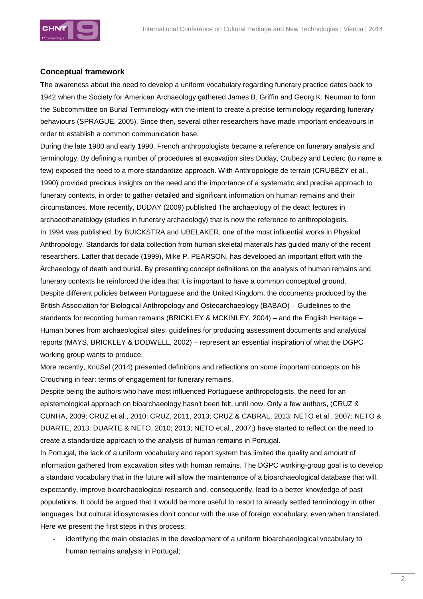

## **Conceptual framework**

The awareness about the need to develop a uniform vocabulary regarding funerary practice dates back to 1942 when the Society for American Archaeology gathered James B. Griffin and Georg K. Neuman to form the Subcommittee on Burial Terminology with the intent to create a precise terminology regarding funerary behaviours (SPRAGUE, 2005). Since then, several other researchers have made important endeavours in order to establish a common communication base.

During the late 1980 and early 1990, French anthropologists became a reference on funerary analysis and terminology. By defining a number of procedures at excavation sites Duday, Crubezy and Leclerc (to name a few) exposed the need to a more standardize approach. With Anthropologie de terrain (CRUBÉZY et al., 1990) provided precious insights on the need and the importance of a systematic and precise approach to funerary contexts, in order to gather detailed and significant information on human remains and their circumstances. More recently, DUDAY (2009) published The archaeology of the dead: lectures in archaeothanatology (studies in funerary archaeology) that is now the reference to anthropologists. In 1994 was published, by BUICKSTRA and UBELAKER, one of the most influential works in Physical Anthropology. Standards for data collection from human skeletal materials has guided many of the recent researchers. Latter that decade (1999), Mike P. PEARSON, has developed an important effort with the Archaeology of death and burial. By presenting concept definitions on the analysis of human remains and funerary contexts he reinforced the idea that it is important to have a common conceptual ground. Despite different policies between Portuguese and the United Kingdom, the documents produced by the British Association for Biological Anthropology and Osteoarchaeology (BABAO) – Guidelines to the standards for recording human remains (BRICKLEY & MCKINLEY, 2004) – and the English Heritage – Human bones from archaeological sites: guidelines for producing assessment documents and analytical reports (MAYS, BRICKLEY & DODWELL, 2002) – represent an essential inspiration of what the DGPC working group wants to produce.

More recently, KnüSel (2014) presented definitions and reflections on some important concepts on his Crouching in fear: terms of engagement for funerary remains.

Despite being the authors who have most influenced Portuguese anthropologists, the need for an epistemological approach on bioarchaeology hasn't been felt, until now. Only a few authors, (CRUZ & CUNHA, 2009; CRUZ et al., 2010; CRUZ, 2011, 2013; CRUZ & CABRAL, 2013; NETO et al., 2007; NETO & DUARTE, 2013; DUARTE & NETO, 2010; 2013; NETO et al., 2007;) have started to reflect on the need to create a standardize approach to the analysis of human remains in Portugal.

In Portugal, the lack of a uniform vocabulary and report system has limited the quality and amount of information gathered from excavation sites with human remains. The DGPC working-group goal is to develop a standard vocabulary that in the future will allow the maintenance of a bioarchaeological database that will, expectantly, improve bioarchaeological research and, consequently, lead to a better knowledge of past populations. It could be argued that it would be more useful to resort to already settled terminology in other languages, but cultural idiosyncrasies don't concur with the use of foreign vocabulary, even when translated. Here we present the first steps in this process:

identifying the main obstacles in the development of a uniform bioarchaeological vocabulary to human remains analysis in Portugal;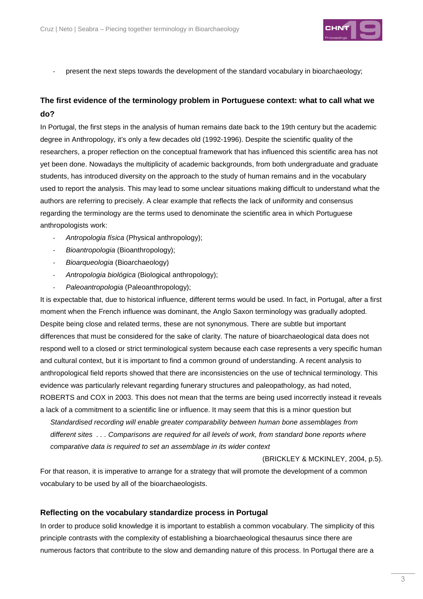

present the next steps towards the development of the standard vocabulary in bioarchaeology;

## **The first evidence of the terminology problem in Portuguese context: what to call what we do?**

In Portugal, the first steps in the analysis of human remains date back to the 19th century but the academic degree in Anthropology, it's only a few decades old (1992-1996). Despite the scientific quality of the researchers, a proper reflection on the conceptual framework that has influenced this scientific area has not yet been done. Nowadays the multiplicity of academic backgrounds, from both undergraduate and graduate students, has introduced diversity on the approach to the study of human remains and in the vocabulary used to report the analysis. This may lead to some unclear situations making difficult to understand what the authors are referring to precisely. A clear example that reflects the lack of uniformity and consensus regarding the terminology are the terms used to denominate the scientific area in which Portuguese anthropologists work:

- Antropologia física (Physical anthropology);
- Bioantropologia (Bioanthropology);
- Bioarqueologia (Bioarchaeology)
- Antropologia biológica (Biological anthropology);
- Paleoantropologia (Paleoanthropology);

It is expectable that, due to historical influence, different terms would be used. In fact, in Portugal, after a first moment when the French influence was dominant, the Anglo Saxon terminology was gradually adopted. Despite being close and related terms, these are not synonymous. There are subtle but important differences that must be considered for the sake of clarity. The nature of bioarchaeological data does not respond well to a closed or strict terminological system because each case represents a very specific human and cultural context, but it is important to find a common ground of understanding. A recent analysis to anthropological field reports showed that there are inconsistencies on the use of technical terminology. This evidence was particularly relevant regarding funerary structures and paleopathology, as had noted, ROBERTS and COX in 2003. This does not mean that the terms are being used incorrectly instead it reveals a lack of a commitment to a scientific line or influence. It may seem that this is a minor question but

Standardised recording will enable greater comparability between human bone assemblages from different sites . . . Comparisons are required for all levels of work, from standard bone reports where comparative data is required to set an assemblage in its wider context

(BRICKLEY & MCKINLEY, 2004, p.5).

For that reason, it is imperative to arrange for a strategy that will promote the development of a common vocabulary to be used by all of the bioarchaeologists.

#### **Reflecting on the vocabulary standardize process in Portugal**

In order to produce solid knowledge it is important to establish a common vocabulary. The simplicity of this principle contrasts with the complexity of establishing a bioarchaeological thesaurus since there are numerous factors that contribute to the slow and demanding nature of this process. In Portugal there are a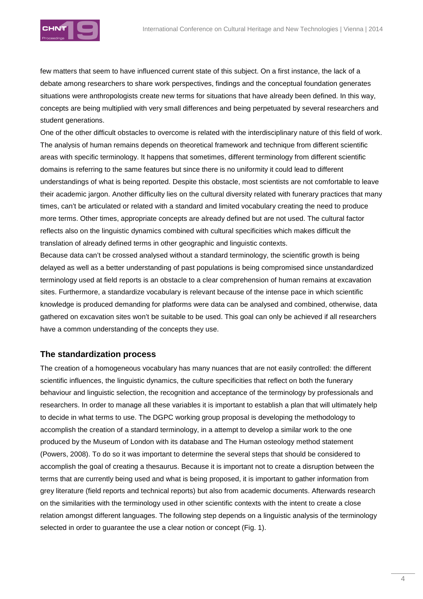

few matters that seem to have influenced current state of this subject. On a first instance, the lack of a debate among researchers to share work perspectives, findings and the conceptual foundation generates situations were anthropologists create new terms for situations that have already been defined. In this way, concepts are being multiplied with very small differences and being perpetuated by several researchers and student generations.

One of the other difficult obstacles to overcome is related with the interdisciplinary nature of this field of work. The analysis of human remains depends on theoretical framework and technique from different scientific areas with specific terminology. It happens that sometimes, different terminology from different scientific domains is referring to the same features but since there is no uniformity it could lead to different understandings of what is being reported. Despite this obstacle, most scientists are not comfortable to leave their academic jargon. Another difficulty lies on the cultural diversity related with funerary practices that many times, can't be articulated or related with a standard and limited vocabulary creating the need to produce more terms. Other times, appropriate concepts are already defined but are not used. The cultural factor reflects also on the linguistic dynamics combined with cultural specificities which makes difficult the translation of already defined terms in other geographic and linguistic contexts.

Because data can't be crossed analysed without a standard terminology, the scientific growth is being delayed as well as a better understanding of past populations is being compromised since unstandardized terminology used at field reports is an obstacle to a clear comprehension of human remains at excavation sites. Furthermore, a standardize vocabulary is relevant because of the intense pace in which scientific knowledge is produced demanding for platforms were data can be analysed and combined, otherwise, data gathered on excavation sites won't be suitable to be used. This goal can only be achieved if all researchers have a common understanding of the concepts they use.

## **The standardization process**

The creation of a homogeneous vocabulary has many nuances that are not easily controlled: the different scientific influences, the linguistic dynamics, the culture specificities that reflect on both the funerary behaviour and linguistic selection, the recognition and acceptance of the terminology by professionals and researchers. In order to manage all these variables it is important to establish a plan that will ultimately help to decide in what terms to use. The DGPC working group proposal is developing the methodology to accomplish the creation of a standard terminology, in a attempt to develop a similar work to the one produced by the Museum of London with its database and The Human osteology method statement (Powers, 2008). To do so it was important to determine the several steps that should be considered to accomplish the goal of creating a thesaurus. Because it is important not to create a disruption between the terms that are currently being used and what is being proposed, it is important to gather information from grey literature (field reports and technical reports) but also from academic documents. Afterwards research on the similarities with the terminology used in other scientific contexts with the intent to create a close relation amongst different languages. The following step depends on a linguistic analysis of the terminology selected in order to guarantee the use a clear notion or concept (Fig. 1).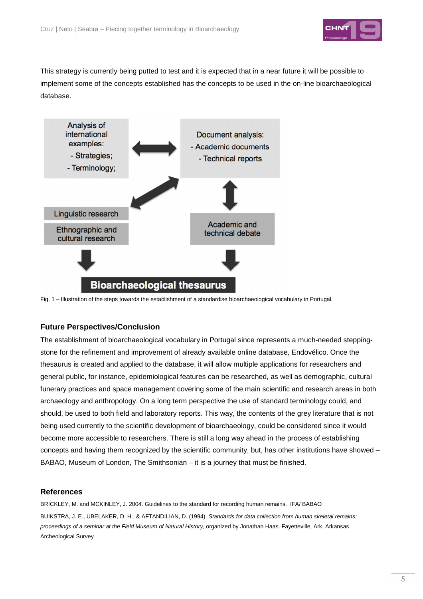

This strategy is currently being putted to test and it is expected that in a near future it will be possible to implement some of the concepts established has the concepts to be used in the on-line bioarchaeological database.



Fig. 1 – Illustration of the steps towards the establishment of a standardise bioarchaeological vocabulary in Portugal.

## **Future Perspectives/Conclusion**

The establishment of bioarchaeological vocabulary in Portugal since represents a much-needed steppingstone for the refinement and improvement of already available online database, Endovélico. Once the thesaurus is created and applied to the database, it will allow multiple applications for researchers and general public, for instance, epidemiological features can be researched, as well as demographic, cultural funerary practices and space management covering some of the main scientific and research areas in both archaeology and anthropology. On a long term perspective the use of standard terminology could, and should, be used to both field and laboratory reports. This way, the contents of the grey literature that is not being used currently to the scientific development of bioarchaeology, could be considered since it would become more accessible to researchers. There is still a long way ahead in the process of establishing concepts and having them recognized by the scientific community, but, has other institutions have showed – BABAO, Museum of London, The Smithsonian – it is a journey that must be finished.

#### **References**

BRICKLEY, M. and MCKINLEY, J. 2004. Guidelines to the standard for recording human remains. IFA/ BABAO BUIKSTRA, J. E., UBELAKER, D. H., & AFTANDILIAN, D. (1994). Standards for data collection from human skeletal remains: proceedings of a seminar at the Field Museum of Natural History, organized by Jonathan Haas. Fayetteville, Ark, Arkansas Archeological Survey